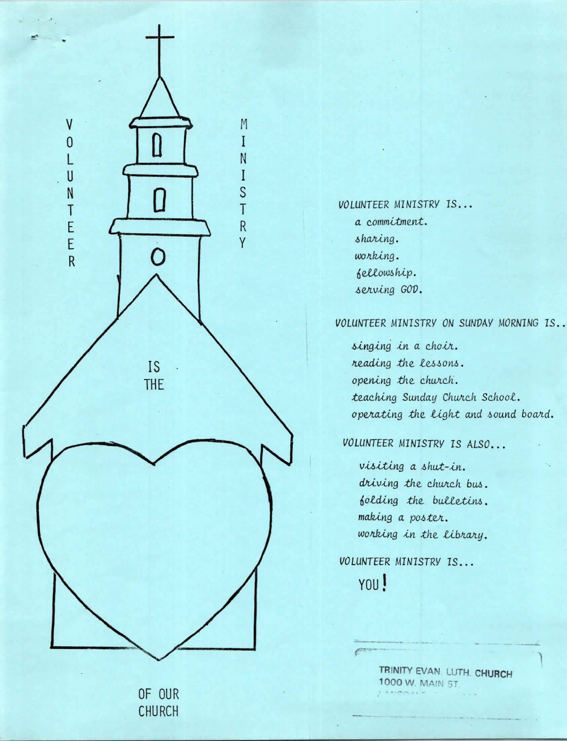

*VOLUNTEER MINISTRY* IS ..• *a. c.ommltmen;t.*   $sharing.$ *WO II.Ung* .  $6$ *ellowship*. serving GOD.

## *VOLUNTEER MINISTRY ON SUNVAY MORNING* IS •.

*singing in a choir. reading the lessons. opening the church.*  $teaching$  Sunday Church School. *operating the light and sound board.* 

## *VOLUNTEER MINISTRY IS ALSO...*

visiting a shut-in. *driving the church bus. folding the bulletins. making a poster.* working in the library.

*VOLUNTEER MINISTRY 1S...* YOU!

----- ·- *<sup>F</sup>*--·

**TRINITY EVAN** LUTH. **CHURCH 1000 W. MAIN ST.** 

 $\begin{matrix} \phantom{-} \end{matrix}$ 

OF OUR CHURCH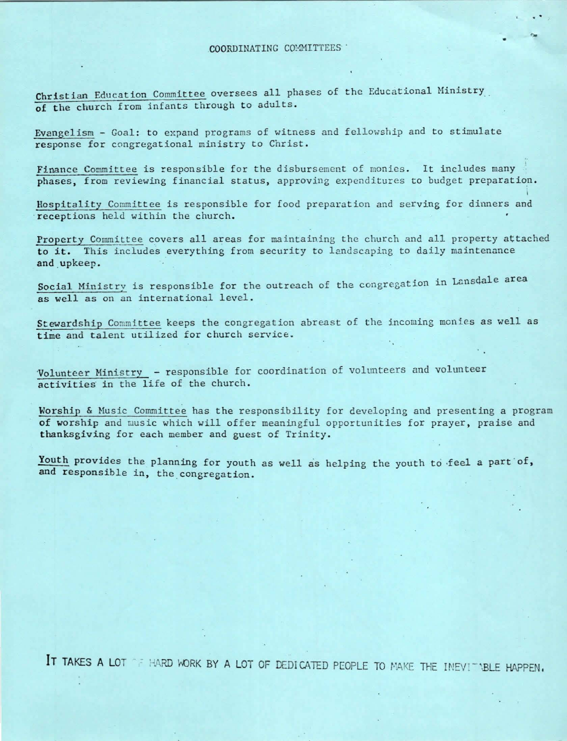Christian Education Committee oversees all phases of the Educational Ministry **of the** church from infants through to adults.

Evangelism - Goal: to expand programs of witness and fellowship and to stimulate response for congregational ministry to Christ.

Finance Committee is responsible for the disbursement of monies. It includes many phases, from reviewing financial status, approving expenditures to budget preparation.

Hospitality Committee is responsible for food preparation and serving for dinners and receptions held within the church.

Property Committee covers all areas for maintaining the church and all property attached to it. This includes everything from security to landscaping to daily maintenance and upkeep.

Social Ministry is responsible for the outreach of the congregation in Lansdale area as well as on an international level.

Stewardship Committee keeps the congregation abreast of the incoming monies as well as time and talent utilized for church service.

·volunteer Ministry - responsible for coordination of volunteers and volunteer activities in the life of the church.

Worship & Husic Committee has the responsibility for developing and presenting a program of worship and music which will offer meaningful opportunities for prayer, praise and thanksgiving for each member and guest of Trinity.

Youth provides the planning for youth as well as helping the youth to feel a part of, and responsible in, the congregation.

IT TAKES A LOT THE HARD WORK BY A LOT OF DEDICATED PEOPLE TO MAKE THE INEVITABLE HAPPEN.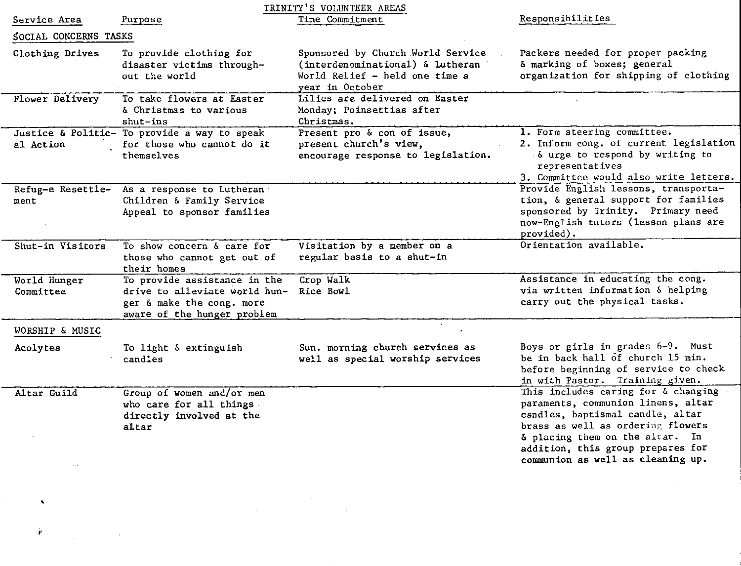| TRINITY'S VOLUNTEER AREAS |                                                                                                                           |                                                                                                                            |                                                                                                                                                                                                                                                                 |
|---------------------------|---------------------------------------------------------------------------------------------------------------------------|----------------------------------------------------------------------------------------------------------------------------|-----------------------------------------------------------------------------------------------------------------------------------------------------------------------------------------------------------------------------------------------------------------|
| Service Area              | Purpose                                                                                                                   | Time Commitment                                                                                                            | Responsibilities                                                                                                                                                                                                                                                |
| SOCIAL CONCERNS TASKS     |                                                                                                                           |                                                                                                                            |                                                                                                                                                                                                                                                                 |
| Clothing Drives           | To provide clothing for<br>disaster victims through-<br>out the world                                                     | Sponsored by Church World Service<br>(interdenominational) & Lutheran<br>World Relief - held one time a<br>year in October | Packers needed for proper packing<br>& marking of boxes; general<br>organization for shipping of clothing                                                                                                                                                       |
| Flower Delivery           | To take flowers at Easter<br>& Christmas to various<br>$shut - ins$                                                       | Lilies are delivered on Easter<br>Monday; Poinsettias after<br>Christmas.                                                  |                                                                                                                                                                                                                                                                 |
| al Action                 | Justice & Politic- To provide a way to speak<br>for those who cannot do it<br>themselves                                  | Present pro & con of issue,<br>present church's view,<br>encourage response to legislation.                                | 1. Form steering committee.<br>2. Inform cong. of current legislation<br>& urge to respond by writing to<br>representatives<br>3. Committee would also write letters.                                                                                           |
| Refug-e Resettle-<br>ment | As a response to Lutheran<br>Children & Family Service<br>Appeal to sponsor families                                      |                                                                                                                            | Provide English lessons, transporta-<br>tion, & general support for families<br>sponsored by Trinity. Primary need<br>now-English tutors (lesson plans are<br>provided).                                                                                        |
| Shut-in Visitors          | To show concern & care for<br>those who cannot get out of<br>their homes                                                  | Visitation by a member on a<br>regular basis to a shut-in                                                                  | Orientation available.                                                                                                                                                                                                                                          |
| World Hunger<br>Committee | To provide assistance in the<br>drive to alleviate world hun-<br>ger & make the cong. more<br>aware of the hunger problem | Crop Walk<br>Rice Bowl                                                                                                     | Assistance in educating the cong.<br>via written information & helping<br>carry out the physical tasks.                                                                                                                                                         |
| WORSHIP & MUSIC           |                                                                                                                           |                                                                                                                            |                                                                                                                                                                                                                                                                 |
| Acolytes                  | To light & extinguish<br>candles                                                                                          | Sun. morning church services as<br>well as special worship services                                                        | Boys or girls in grades 6-9. Must<br>be in back hall of church 15 min.<br>before beginning of service to check<br>in with Pastor. Training given.                                                                                                               |
| Altar Guild               | Group of women and/or men<br>who care for all things.<br>directly involved at the<br>altar                                |                                                                                                                            | This includes caring for & changing<br>paraments, communion linens, altar<br>candles, baptismal candle, altar<br>brass as well as ordering flowers<br>& placing them on the altar. In<br>addition, this group prepares for<br>communion as well as cleaning up. |

 $\mathcal{L}^{\text{max}}_{\text{max}}$  , where  $\mathcal{L}^{\text{max}}_{\text{max}}$ 

 $\sim$ 

 $\bullet$   $\bullet$   $\bullet$   $\bullet$   $\bullet$ 

 $\left\| \hat{\pmb{\theta}} \right\|_{\mathcal{H}^{s}(\mathbb{R}^{d})} \leq \frac{1}{\sqrt{2}} \sum_{i=1}^d \left\| \hat{\pmb{\theta}}_i - \hat{\pmb{\theta}}_i \right\|_{\mathcal{H}^{s}(\mathbb{R}^{d})} \leq \frac{1}{\sqrt{2}} \sum_{i=1}^d \left\| \hat{\pmb{\theta}}_i - \hat{\pmb{\theta}}_i \right\|_{\mathcal{H}^{s}(\mathbb{R}^{d})} \leq \frac{1}{\sqrt{2}} \sum_{i=1}^d \left\| \hat{\pmb{\theta}}_i - \hat{\pmb$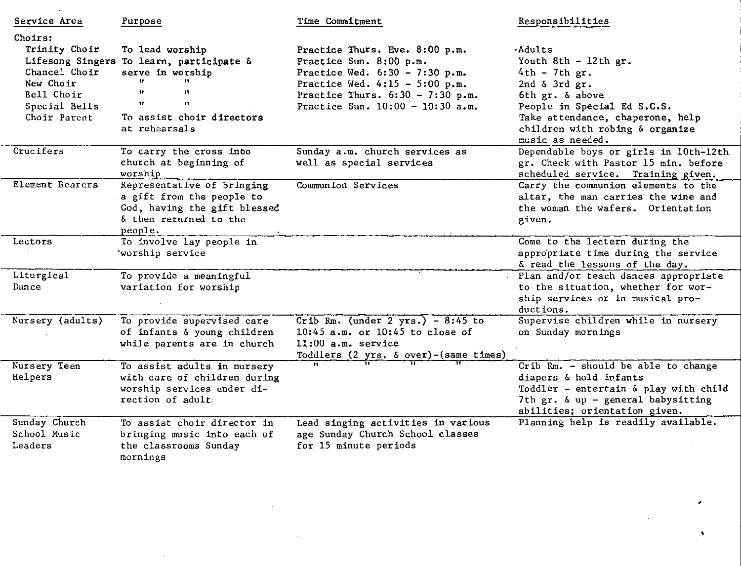| Service Area                                                                                                              | Purpose                                                                                                                                                        | Time Commitment                                                                                                                                                                                               | Responsibilities                                                                                                                                                                                                                  |
|---------------------------------------------------------------------------------------------------------------------------|----------------------------------------------------------------------------------------------------------------------------------------------------------------|---------------------------------------------------------------------------------------------------------------------------------------------------------------------------------------------------------------|-----------------------------------------------------------------------------------------------------------------------------------------------------------------------------------------------------------------------------------|
| Choirs:<br>Trinity Choir<br>Lifesong Singers<br>Chancel Choir<br>New Choir<br>Bell Choir<br>Special Bells<br>Choir Parent | To lead worship<br>To learn, participate &<br>serve in worship<br>$\mathbf{H}$<br>$\bullet$<br>$\mathbf{H}$<br>Ħ<br>To assist choir directors<br>at rehearsals | Practice Thurs. Eve. 8:00 p.m.<br>Practice Sun. 8:00 p.m.<br>Practice Wed. $6:30 - 7:30$ p.m.<br>Practice Wed. $4:15 - 5:00$ p.m.<br>Practice Thurs. $6:30 - 7:30$ p.m.<br>Practice Sun. $10:00 - 10:30$ a.m. | <b>Adults</b><br>Youth 8th $-12$ th gr.<br>$4th - 7th$ gr.<br>2nd $\delta$ 3rd $gr.$<br>6th gr. & above<br>People in Special Ed S.C.S.<br>Take attendance, chaperone, help<br>children with robing & organize<br>music as needed. |
| Crucifers                                                                                                                 | To carry the cross into<br>church at beginning of<br>worship                                                                                                   | Sunday a.m. church services as<br>well as special services                                                                                                                                                    | Dependable boys or girls in 10th-12th<br>gr. Check with Pastor 15 min. before<br>scheduled service. Training given.                                                                                                               |
| Element Bearers                                                                                                           | Representative of bringing<br>a gift from the people to<br>God, having the gift blessed<br>& then returned to the<br>people.                                   | Communion Services                                                                                                                                                                                            | Carry the communion elements to the<br>altar, the man carries the wine and<br>the woman the wafers. Orientation<br>given.                                                                                                         |
| Lectors                                                                                                                   | To involve lay people in<br>worship service                                                                                                                    |                                                                                                                                                                                                               | Come to the lectern during the<br>appropriate time during the service<br>& read the lessons of the day.                                                                                                                           |
| Liturgical<br>Dance                                                                                                       | To provide a meaningful<br>variation for worship                                                                                                               |                                                                                                                                                                                                               | Plan and/or teach dances appropriate<br>to the situation, whether for wor-<br>ship services or in musical pro-<br>ductions.                                                                                                       |
| Nursery (adults)                                                                                                          | To provide supervised care<br>of infants & young children<br>while parents are in church                                                                       | Crib Rm. (under $2 \text{ yrs.}$ ) - 8:45 to<br>10:45 $a.m.$ or 10:45 to close of<br>$11:00$ a.m. service<br>Toddlers (2 yrs. & over)-(same times)                                                            | Supervise children while in nursery<br>on Sunday mornings                                                                                                                                                                         |
| Nursery Teen<br>Helpers                                                                                                   | To assist adults in nursery<br>with care of children during<br>worship services under di-<br>rection of adult.                                                 |                                                                                                                                                                                                               | Crib Rm. - should be able to change<br>diapers & hold infants<br>Toddler - entertain & play with child<br>7th $gr.$ & up - general babysitting<br>abilities; orientation given.                                                   |
| Sunday Church<br>School Music<br>Leaders                                                                                  | To assist choir director in<br>bringing music into each of<br>the classrooms Sunday<br>mornings                                                                | Lead singing activities in various<br>age Sunday Church School classes<br>for 15 minute periods                                                                                                               | Planning help is readily available.                                                                                                                                                                                               |

 $\mathcal{L}^{\text{max}}_{\text{max}}$  and  $\mathcal{L}^{\text{max}}_{\text{max}}$ 

 $\mathcal{A}^{\text{max}}_{\text{max}}$ 

 $\sim 10^{-10}$ 

,

 $\mathcal{A}$ 

 $\sim 10^{11}$  km  $^{-1}$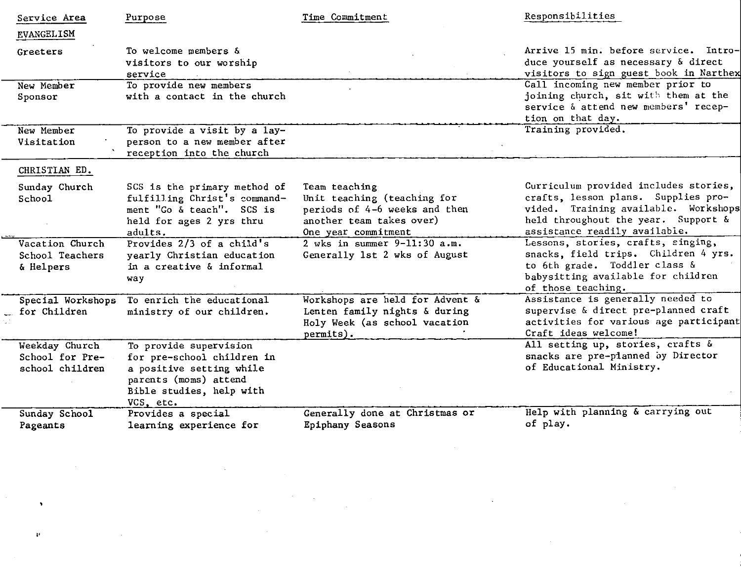| Service Area                                         | Purpose                                                                                                                                            | Time Commitment                                                                                                                  | Responsibilities                                                                                                                                                                             |
|------------------------------------------------------|----------------------------------------------------------------------------------------------------------------------------------------------------|----------------------------------------------------------------------------------------------------------------------------------|----------------------------------------------------------------------------------------------------------------------------------------------------------------------------------------------|
| <b>EVANGELISM</b>                                    |                                                                                                                                                    |                                                                                                                                  |                                                                                                                                                                                              |
| Greeters                                             | To welcome members &<br>visitors to our worship<br>service                                                                                         |                                                                                                                                  | Arrive 15 min. before service. Intro-<br>duce yourself as necessary & direct<br>visitors to sign guest book in Narthex                                                                       |
| New Member<br>Sponsor                                | To provide new members<br>with a contact in the church                                                                                             |                                                                                                                                  | Call incoming new member prior to<br>joining church, sit with them at the<br>service & attend new members' recep-<br>tion on that day.                                                       |
| New Member<br>Visitation                             | To provide a visit by a lay-<br>person to a new member after<br>reception into the church                                                          |                                                                                                                                  | Training provided.                                                                                                                                                                           |
| CHRISTIAN ED.                                        |                                                                                                                                                    |                                                                                                                                  |                                                                                                                                                                                              |
| Sunday Church<br>School                              | SCS is the primary method of<br>fulfilling Christ's command-<br>ment "Go & teach". SCS is<br>held for ages 2 yrs thru<br>adults.                   | Team teaching<br>Unit teaching (teaching for<br>periods of 4-6 weeks and then<br>another team takes over)<br>One year commitment | Curriculum provided includes stories,<br>crafts, lesson plans. Supplies pro-<br>vided. Training available. Workshops<br>held throughout the year. Support &<br>assistance readily available. |
| Vacation Church<br>School Teachers<br>& Helpers      | Provides $2/3$ of a child's<br>yearly Christian education<br>in a creative & informal<br>way                                                       | 2 wks in summer $9-11:30$ a.m.<br>Generally 1st 2 wks of August                                                                  | Lessons, stories, crafts, singing,<br>snacks, field trips. Children 4 yrs.<br>to 6th grade. Toddler class &<br>babysitting available for children<br>of those teaching.                      |
| Special Workshops<br>for Children                    | To enrich the educational<br>ministry of our children.                                                                                             | Workshops are held for Advent &<br>Lenten family nights & during<br>Holy Week (as school vacation<br>permits).                   | Assistance is generally needed to<br>supervise & direct pre-planned craft<br>activities for various age participant<br>Craft ideas welcome!                                                  |
| Weekday Church<br>School for Pre-<br>school children | To provide supervision<br>for pre-school children in<br>a positive setting while<br>parents (moms) attend<br>Bible studies, help with<br>VCS, etc. |                                                                                                                                  | All setting up, stories, crafts &<br>snacks are pre-planned by Director<br>of Educational Ministry.                                                                                          |
| Sunday School<br>Pageants                            | Provides a special<br>learning experience for                                                                                                      | Generally done at Christmas or<br>Epiphany Seasons                                                                               | Help with planning & carrying out<br>of play.                                                                                                                                                |

,,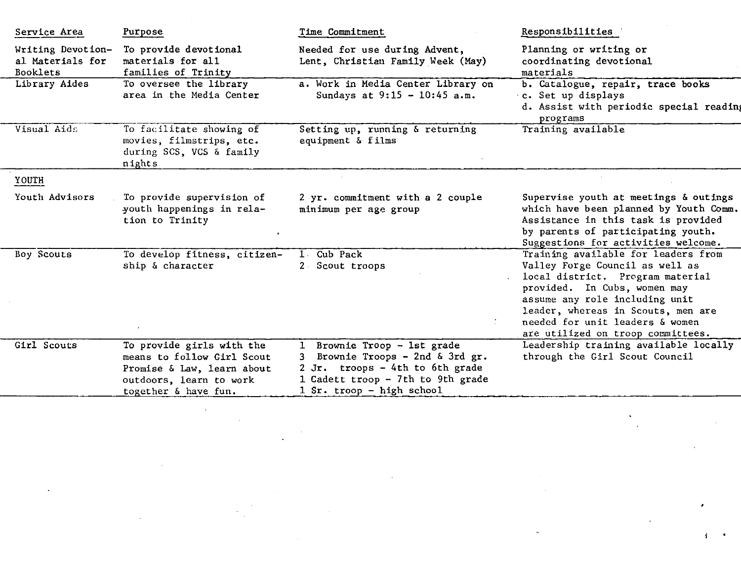| Service Area                                             | Purpose                                                                                                                                  | Time Commitment                                                                                                                                                      | Responsibilities                                                                                                                                                                                                                                                                           |
|----------------------------------------------------------|------------------------------------------------------------------------------------------------------------------------------------------|----------------------------------------------------------------------------------------------------------------------------------------------------------------------|--------------------------------------------------------------------------------------------------------------------------------------------------------------------------------------------------------------------------------------------------------------------------------------------|
| Writing Devotion-<br>al Materials for<br><b>Booklets</b> | To provide devotional<br>materials for all<br>families of Trinity                                                                        | Needed for use during Advent,<br>Lent, Christian Family Week (May)                                                                                                   | Planning or writing or<br>coordinating devotional<br>materials                                                                                                                                                                                                                             |
| Library Aides                                            | To oversee the library<br>area in the Media Center                                                                                       | a. Work in Media Center Library on<br>Sundays at $9:15 - 10:45$ a.m.                                                                                                 | b. Catalogue, repair, trace books<br>c. Set up displays<br>d. Assist with periodic special reading<br>programs                                                                                                                                                                             |
| Visual Aids                                              | To facilitate showing of<br>movies, filmstrips, etc.<br>during SCS, VCS & family<br>nights                                               | Setting up, running & returning<br>equipment & films                                                                                                                 | Training available                                                                                                                                                                                                                                                                         |
| YOUTH                                                    |                                                                                                                                          |                                                                                                                                                                      |                                                                                                                                                                                                                                                                                            |
| Youth Advisors                                           | To provide supervision of<br>youth happenings in rela-<br>tion to Trinity                                                                | 2 yr. commitment with a 2 couple<br>minimum per age group                                                                                                            | Supervise youth at meetings & outings<br>which have been planned by Youth Comm.<br>Assistance in this task is provided<br>by parents of participating youth.<br>Suggestions for activities welcome.                                                                                        |
| Boy Scouts                                               | To develop fitness, citizen-<br>ship & character                                                                                         | Cub Pack<br>$1$ .<br>2 Scout troops                                                                                                                                  | Training available for leaders from<br>Valley Forge Council as well as<br>local district. Program material<br>provided. In Cubs, women may<br>assume any role including unit<br>leader, whereas in Scouts, men are<br>needed for unit leaders & women<br>are utilized on troop committees. |
| Girl Scouts                                              | To provide girls with the<br>means to follow Girl Scout<br>Promise & Law, learn about<br>outdoors, learn to work<br>together & have fun. | Brownie Troop - 1st grade<br>Brownie Troops - 2nd & 3rd $gr.$<br>2 Jr. troops - 4th to 6th grade<br>1 Cadett troop - 7th to 9th grade<br>$1$ Sr. troop - high school | Leadership training available locally<br>through the Girl Scout Council                                                                                                                                                                                                                    |

 $\sim 10^{11}$  km  $^{-1}$ 

 $\mathbf{v}$  .  $\sim 10$ 

 $\sim$ 

 $\mathbf{1}$ 

 $\sim 100$ 

 $\bar{\mathbf{v}}$ 

 $\label{eq:2.1} \frac{1}{\sqrt{2}}\left(\frac{1}{\sqrt{2}}\right)^{2} \left(\frac{1}{\sqrt{2}}\right)^{2}$ 

 $\mathcal{A}^{\mathcal{A}}$ 

 $\sim 10^7$ 

 $\bullet$ 

 $\label{eq:1} \frac{1}{\sqrt{2\pi}}\sum_{i=1}^{\infty}\frac{1}{\sqrt{2\pi}}\sum_{i=1}^{\infty}\frac{1}{\sqrt{2\pi}}\sum_{i=1}^{\infty}\frac{1}{\sqrt{2\pi}}\sum_{i=1}^{\infty}\frac{1}{\sqrt{2\pi}}\sum_{i=1}^{\infty}\frac{1}{\sqrt{2\pi}}\sum_{i=1}^{\infty}\frac{1}{\sqrt{2\pi}}\sum_{i=1}^{\infty}\frac{1}{\sqrt{2\pi}}\sum_{i=1}^{\infty}\frac{1}{\sqrt{2\pi}}\sum_{i=1}^{\infty}\frac{1}{\$ 

 $\sim 10^{11}$  km  $^{-1}$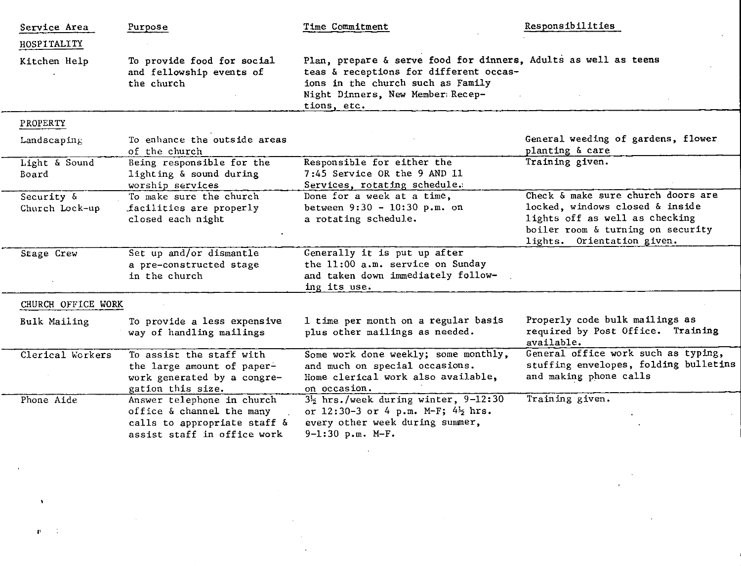| Service Area                 | Purpose                                                                                                                | Time Commitment                                                                                                                                                                                    | Responsibilities                                                                                                                                                           |
|------------------------------|------------------------------------------------------------------------------------------------------------------------|----------------------------------------------------------------------------------------------------------------------------------------------------------------------------------------------------|----------------------------------------------------------------------------------------------------------------------------------------------------------------------------|
| HOSPITALITY                  |                                                                                                                        |                                                                                                                                                                                                    |                                                                                                                                                                            |
| Kitchen Help                 | To provide food for social<br>and fellowship events of<br>the church                                                   | Plan, prepare & serve food for dinners, Adults as well as teens<br>teas & receptions for different occas-<br>ions in the church such as Family<br>Night Dinners, New Member: Recep-<br>tions, etc. |                                                                                                                                                                            |
| PROPERTY                     |                                                                                                                        |                                                                                                                                                                                                    |                                                                                                                                                                            |
| Landscaping                  | To enhance the outside areas<br>of the church                                                                          |                                                                                                                                                                                                    | General weeding of gardens, flower<br>planting & care                                                                                                                      |
| Light & Sound<br>Board       | Being responsible for the<br>lighting & sound during<br>worship services                                               | Responsible for either the<br>7:45 Service OR the 9 AND 11<br>Services, rotating schedule.                                                                                                         | Training given.                                                                                                                                                            |
| Security &<br>Church Lock-up | To make sure the church<br>facilities are properly<br>closed each night                                                | Done for a week at a time,<br>between $9:30 - 10:30 p.m.$ on<br>a rotating schedule.                                                                                                               | Check & make sure church doors are<br>locked, windows closed & inside<br>lights off as well as checking<br>boiler room & turning on security<br>lights. Orientation given. |
| Stage Crew                   | Set up and/or dismantle<br>a pre-constructed stage<br>in the church                                                    | Generally it is put up after<br>the 11:00 a.m. service on Sunday<br>and taken down immediately follow-<br>ing its use.                                                                             |                                                                                                                                                                            |
| CHURCH OFFICE WORK           |                                                                                                                        |                                                                                                                                                                                                    |                                                                                                                                                                            |
| Bulk Mailing                 | To provide a less expensive<br>way of handling mailings                                                                | 1 time per month on a regular basis<br>plus other mailings as needed.                                                                                                                              | Properly code bulk mailings as<br>required by Post Office. Training<br>available.                                                                                          |
| Clerical Workers             | To assist the staff with<br>the large amount of paper-<br>work generated by a congre-<br>gation this size.             | Some work done weekly; some monthly,<br>and much on special occasions.<br>Home clerical work also available,<br>on occasion.                                                                       | General office work such as typing,<br>stuffing envelopes, folding bulletins<br>and making phone calls                                                                     |
| Phone Aide                   | Answer telephone in church<br>office & channel the many<br>calls to appropriate staff &<br>assist staff in office work | $3\frac{1}{2}$ hrs./week during winter, 9-12:30<br>or 12:30-3 or 4 p.m. M-F; 4 hrs.<br>every other week during summer,<br>$9-1:30$ p.m. M-F.                                                       | Training given.                                                                                                                                                            |
|                              |                                                                                                                        |                                                                                                                                                                                                    |                                                                                                                                                                            |

a sa karang sa mga bayang ng mga bayang ng mga pangalang ng mga pangalang ng mga pangalang ng mga pangalang ng<br>Mga pangalang ng mga pangalang ng mga pangalang ng mga pangalang ng mga pangalang ng mga pangalang ng mga pang

 $\label{eq:2.1} \frac{1}{\sqrt{2}}\int_{0}^{\infty}\frac{1}{\sqrt{2\pi}}\left(\frac{1}{\sqrt{2\pi}}\right)^{2\alpha} \frac{1}{\sqrt{2\pi}}\int_{0}^{\infty}\frac{1}{\sqrt{2\pi}}\left(\frac{1}{\sqrt{2\pi}}\right)^{\alpha} \frac{1}{\sqrt{2\pi}}\frac{1}{\sqrt{2\pi}}\int_{0}^{\infty}\frac{1}{\sqrt{2\pi}}\frac{1}{\sqrt{2\pi}}\frac{1}{\sqrt{2\pi}}\frac{1}{\sqrt{2\pi}}\frac{1}{\sqrt{2\pi}}\frac{1}{\sqrt{2\pi}}$ 

 $\mathfrak{g}=\mathfrak{g}$  , and  $\mathfrak{g}=\mathfrak{g}$  , and

 $\label{eq:2.1} \frac{1}{\sqrt{2}}\int_{\mathbb{R}^3}\frac{1}{\sqrt{2}}\left(\frac{1}{\sqrt{2}}\right)^2\left(\frac{1}{\sqrt{2}}\right)^2\left(\frac{1}{\sqrt{2}}\right)^2\left(\frac{1}{\sqrt{2}}\right)^2.$ 

 $\mathbf{A}^{\text{max}}$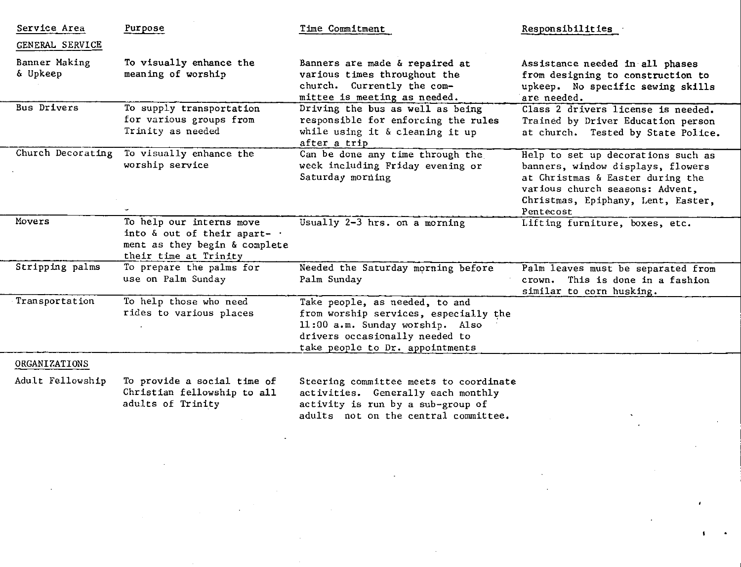| Service Area              | Purpose                                                                                                            | Time Commitment                                                                                                                                                                 | Responsibilities                                                                                                                                                                                  |
|---------------------------|--------------------------------------------------------------------------------------------------------------------|---------------------------------------------------------------------------------------------------------------------------------------------------------------------------------|---------------------------------------------------------------------------------------------------------------------------------------------------------------------------------------------------|
| GENERAL SERVICE           |                                                                                                                    |                                                                                                                                                                                 |                                                                                                                                                                                                   |
| Banner Making<br>& Upkeep | To visually enhance the<br>meaning of worship                                                                      | Banners are made & repaired at<br>various times throughout the<br>church. Currently the com-<br>mittee is meeting as needed.                                                    | Assistance needed in all phases<br>from designing to construction to<br>upkeep. No specific sewing skills<br>are needed.                                                                          |
| <b>Bus Drivers</b>        | To supply transportation<br>for various groups from<br>Trinity as needed                                           | Driving the bus as well as being<br>responsible for enforcing the rules<br>while using it & cleaning it up<br>after a trip                                                      | Class 2 drivers license is needed.<br>Trained by Driver Education person<br>at church. Tested by State Police.                                                                                    |
| Church Decorating         | To visually enhance the<br>worship service                                                                         | Can be done any time through the<br>week including Friday evening or<br>Saturday morning                                                                                        | Help to set up decorations such as<br>banners, window displays, flowers<br>at Christmas & Easter during the<br>various church seasons: Advent,<br>Christmas, Epiphany, Lent, Easter,<br>Pentecost |
| Movers                    | To help our interns move<br>into & out of their apart- .<br>ment as they begin & complete<br>their time at Trinity | Usually 2-3 hrs. on a morning                                                                                                                                                   | Lifting furniture, boxes, etc.                                                                                                                                                                    |
| Stripping palms           | To prepare the palms for<br>use on Palm Sunday                                                                     | Needed the Saturday morning before<br>Palm Sunday                                                                                                                               | Palm leaves must be separated from<br>This is done in a fashion<br>crown.<br>similar to corn husking.                                                                                             |
| Transportation            | To help those who need<br>rides to various places                                                                  | Take people, as needed, to and<br>from worship services, especially the<br>11:00 a.m. Sunday worship. Also<br>drivers occasionally needed to<br>take people to Dr. appointments |                                                                                                                                                                                                   |
| <b>ORGANIZATIONS</b>      |                                                                                                                    |                                                                                                                                                                                 |                                                                                                                                                                                                   |
| Adult Fellowship          | To provide a social time of<br>Christian fellowship to all<br>adults of Trinity                                    | Steering committee meets to coordinate<br>activities. Generally each monthly<br>activity is run by a sub-group of                                                               |                                                                                                                                                                                                   |

adults not on the central committee

 $\mathbf{I}$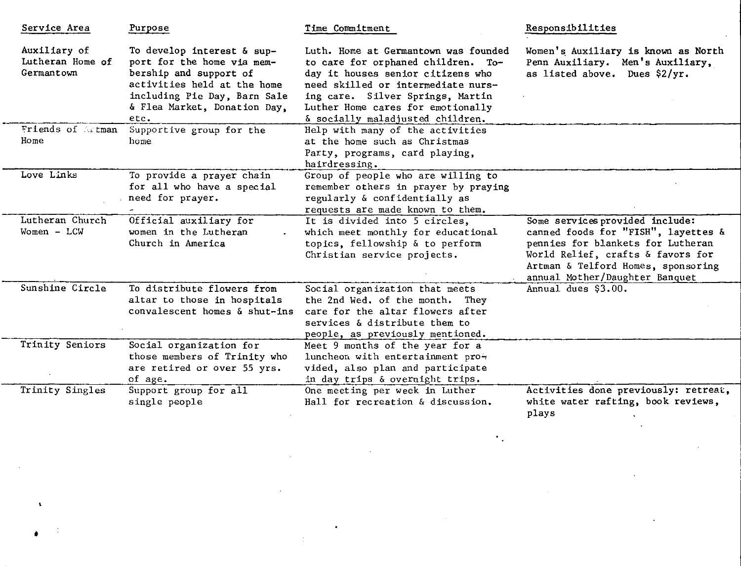| Service Area                                   | Purpose                                                                                                                                                                                   | Time Commitment                                                                                                                                                                                                                                                    | Responsibilities                                                                                                                                                                                                         |
|------------------------------------------------|-------------------------------------------------------------------------------------------------------------------------------------------------------------------------------------------|--------------------------------------------------------------------------------------------------------------------------------------------------------------------------------------------------------------------------------------------------------------------|--------------------------------------------------------------------------------------------------------------------------------------------------------------------------------------------------------------------------|
| Auxiliary of<br>Lutheran Home of<br>Germantown | To develop interest & sup-<br>port for the home via mem-<br>bership and support of<br>activities held at the home<br>including Pie Day, Barn Sale<br>& Flea Market, Donation Day,<br>etc. | Luth. Home at Germantown was founded<br>to care for orphaned children. To-<br>day it houses senior citizens who<br>need skilled or intermediate nurs-<br>ing care. Silver Springs, Martin<br>Luther Home cares for emotionally<br>& socially maladjusted children. | Women's Auxiliary is known as North<br>Penn Auxiliary. Men's Auxiliary,<br>as listed above. Dues \$2/yr.                                                                                                                 |
| Friends of Artman<br>Home                      | Supportive group for the<br>home                                                                                                                                                          | Help with many of the activities<br>at the home such as Christmas<br>Party, programs, card playing,<br>hairdressing.                                                                                                                                               |                                                                                                                                                                                                                          |
| Love Links                                     | To provide a prayer chain<br>for all who have a special<br>need for prayer.                                                                                                               | Group of people who are willing to<br>remember others in prayer by praying<br>regularly & confidentially as<br>requests are made known to them.                                                                                                                    |                                                                                                                                                                                                                          |
| Lutheran Church<br>$Women - LCW$               | Official auxiliary for<br>women in the Lutheran<br>Church in America                                                                                                                      | It is divided into 5 circles,<br>which meet monthly for educational<br>topics, fellowship & to perform<br>Christian service projects.                                                                                                                              | Some services provided include:<br>canned foods for "FISH", layettes &<br>pennies for blankets for Lutheran<br>World Relief, crafts & favors for<br>Artman & Telford Homes, sponsoring<br>annual Mother/Daughter Banquet |
| Sunshine Circle                                | To distribute flowers from<br>altar to those in hospitals<br>convalescent homes & shut-ins                                                                                                | Social organization that meets<br>the 2nd Wed, of the month. They<br>care for the altar flowers after<br>services & distribute them to<br>people, as previously mentioned.                                                                                         | Annual dues \$3.00.                                                                                                                                                                                                      |
| Trinity Seniors                                | Social organization for<br>those members of Trinity who<br>are retired or over 55 yrs.<br>of age.                                                                                         | Meet 9 months of the year for a<br>luncheon with entertainment pro-<br>vided, also plan and participate<br>in day trips & overnight trips.                                                                                                                         |                                                                                                                                                                                                                          |
| Trinity Singles                                | Support group for all<br>single people                                                                                                                                                    | One meeting per week in Luther<br>Hall for recreation & discussion.                                                                                                                                                                                                | Activities done previously: retreat,<br>white water rafting, book reviews,<br>plays                                                                                                                                      |

 $\mathcal{L}_{\text{max}}$  and  $\mathcal{L}_{\text{max}}$  and  $\mathcal{L}_{\text{max}}$ 

 $\bullet$  –  $\bullet$  –  $\bullet$  –

 $\mathbf{A}^{\mathrm{c}}$ 

 $\mathcal{L}^{\text{max}}_{\text{max}}$